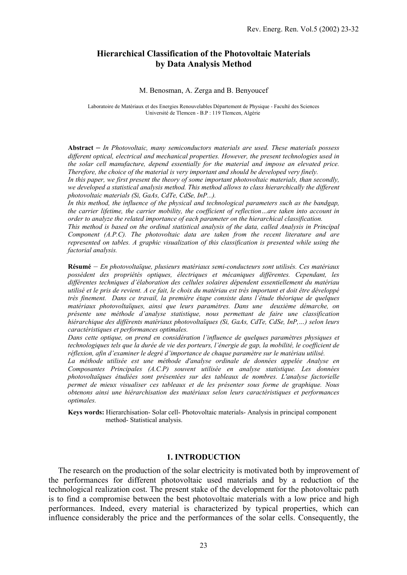# **Hierarchical Classification of the Photovoltaic Materials by Data Analysis Method**

#### M. Benosman, A. Zerga and B. Benyoucef

Laboratoire de Matériaux et des Energies Renouvelables Département de Physique - Faculté des Sciences Université de Tlemcen - B.P : 119 Tlemcen, Algérie

**Abstract –** *In Photovoltaic, many semiconductors materials are used. These materials possess different optical, electrical and mechanical properties. However, the present technologies used in the solar cell manufacture, depend essentially for the material and impose an elevated price. Therefore, the choice of the material is very important and should be developed very finely.* 

In this paper, we first present the theory of some important photovoltaic materials, than secondly, *we developed a statistical analysis method. This method allows to class hierarchically the different photovoltaic materials (Si, GaAs, CdTe, CdSe, InP...).* 

*In this method, the influence of the physical and technological parameters such as the bandgap, the carrier lifetime, the carrier mobility, the coefficient of reflection…are taken into account in order to analyze the related importance of each parameter on the hierarchical classification.* 

*This method is based on the ordinal statistical analysis of the data, called Analysis in Principal Component (A.P.C). The photovoltaic data are taken from the recent literature and are represented on tables. A graphic visualization of this classification is presented while using the factorial analysis.* 

**Résumé** – *En photovoltaïque, plusieurs matériaux semi-conducteurs sont utilisés. Ces matériaux possèdent des propriétés optiques, électriques et mécaniques différentes. Cependant, les différentes techniques d'élaboration des cellules solaires dépendent essentiellement du matériau utilisé et le pris de revient. A ce fait, le choix du matériau est très important et doit être développé très finement. Dans ce travail, la première étape consiste dans l'étude théorique de quelques matériaux photovoltaïques, ainsi que leurs paramètres. Dans une deuxième démarche, on présente une méthode d'analyse statistique, nous permettant de faire une classification hiérarchique des différents matériaux photovoltaïques (Si, GaAs, CdTe, CdSe, InP,…) selon leurs caractéristiques et performances optimales.* 

*Dans cette optique, on prend en considération l'influence de quelques paramètres physiques et technologiques tels que la durée de vie des porteurs, l'énergie de gap, la mobilité, le coefficient de réflexion, afin d'examiner le degré d'importance de chaque paramètre sur le matériau utilisé.* 

La méthode utilisée est une méthode d'analyse ordinale de données appelée Analyse en *Composantes Principales (A.C.P) souvent utilisée en analyse statistique. Les données photovoltaïques étudiées sont présentées sur des tableaux de nombres. L'analyse factorielle permet de mieux visualiser ces tableaux et de les présenter sous forme de graphique. Nous obtenons ainsi une hiérarchisation des matériaux selon leurs caractéristiques et performances optimales.* 

**Keys words:** Hierarchisation- Solar cell- Photovoltaic materials- Analysis in principal component method- Statistical analysis.

#### **1. INTRODUCTION**

The research on the production of the solar electricity is motivated both by improvement of the performances for different photovoltaic used materials and by a reduction of the technological realization cost. The present stake of the development for the photovoltaic path is to find a compromise between the best photovoltaic materials with a low price and high performances. Indeed, every material is characterized by typical properties, which can influence considerably the price and the performances of the solar cells. Consequently, the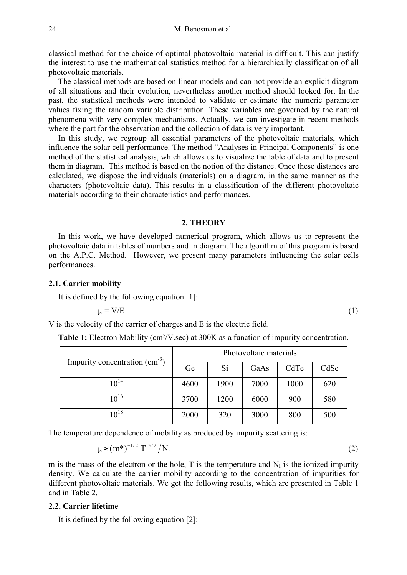classical method for the choice of optimal photovoltaic material is difficult. This can justify the interest to use the mathematical statistics method for a hierarchically classification of all photovoltaic materials.

The classical methods are based on linear models and can not provide an explicit diagram of all situations and their evolution, nevertheless another method should looked for. In the past, the statistical methods were intended to validate or estimate the numeric parameter values fixing the random variable distribution. These variables are governed by the natural phenomena with very complex mechanisms. Actually, we can investigate in recent methods where the part for the observation and the collection of data is very important.

In this study, we regroup all essential parameters of the photovoltaic materials, which influence the solar cell performance. The method "Analyses in Principal Components" is one method of the statistical analysis, which allows us to visualize the table of data and to present them in diagram. This method is based on the notion of the distance. Once these distances are calculated, we dispose the individuals (materials) on a diagram, in the same manner as the characters (photovoltaic data). This results in a classification of the different photovoltaic materials according to their characteristics and performances.

#### **2. THEORY**

In this work, we have developed numerical program, which allows us to represent the photovoltaic data in tables of numbers and in diagram. The algorithm of this program is based on the A.P.C. Method. However, we present many parameters influencing the solar cells performances.

### **2.1. Carrier mobility**

It is defined by the following equation [1]:

$$
\mu = V/E \tag{1}
$$

V is the velocity of the carrier of charges and E is the electric field.

**Table 1:** Electron Mobility (cm²/V.sec) at 300K as a function of impurity concentration.

|                                    | Photovoltaic materials |      |      |      |      |  |
|------------------------------------|------------------------|------|------|------|------|--|
| Impurity concentration $(cm^{-3})$ | Ge                     | Si   | GaAs | CdTe | CdSe |  |
| $10^{14}$                          | 4600                   | 1900 | 7000 | 1000 | 620  |  |
| $10^{16}$                          | 3700                   | 1200 | 6000 | 900  | 580  |  |
| $10^{18}$                          | 2000                   | 320  | 3000 | 800  | 500  |  |

The temperature dependence of mobility as produced by impurity scattering is:

$$
\mu \approx (m^*)^{-1/2} T^{3/2} / N_I
$$
 (2)

m is the mass of the electron or the hole, T is the temperature and  $N_I$  is the ionized impurity density. We calculate the carrier mobility according to the concentration of impurities for different photovoltaic materials. We get the following results, which are presented in Table 1 and in Table 2.

### **2.2. Carrier lifetime**

It is defined by the following equation [2]: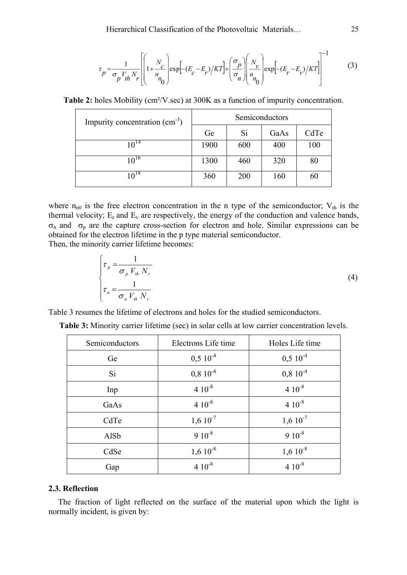$$
\tau_p = \frac{1}{\sigma_p V_{th} N_r} \left[ \left( 1 + \frac{N_c}{n_0} \right) \exp\left[ -(E_c - E_r) / KT \right] + \left( \frac{\sigma_p}{\sigma_n} \right) \left( \frac{N_v}{n_0} \right) \exp\left[ -(E_r - E_v) / KT \right] \right]^{-1}
$$
(3)

**Table 2:** holes Mobility (cm<sup>2</sup>/V.sec) at 300K as a function of impurity concentration.

| Impurity concentration $(cm^{-3})$ | Semiconductors |     |      |      |  |  |
|------------------------------------|----------------|-----|------|------|--|--|
|                                    | Ge             | Si  | GaAs | CdTe |  |  |
| $10^{14}$                          | 1900           | 600 | 400  | 100  |  |  |
| $10^{16}$                          | 1300           | 460 | 320  | 80   |  |  |
| $10^{18}$                          | 360            | 200 | 160  | 60   |  |  |

where  $n_{n0}$  is the free electron concentration in the n type of the semiconductor;  $V_{th}$  is the thermal velocity;  $E_c$  and  $E_v$  are respectively, the energy of the conduction and valence bands, σn and σp are the capture cross-section for electron and hole. Similar expressions can be obtained for the electron lifetime in the p type material semiconductor.

Then, the minority carrier lifetime becomes:

$$
\begin{cases}\n\tau_p = \frac{1}{\sigma_p V_{th} N_r} \\
\tau_n = \frac{1}{\sigma_n V_{th} N_r}\n\end{cases}
$$
\n(4)

Table 3 resumes the lifetime of electrons and holes for the studied semiconductors.

| Semiconductors | Electrons Life time | Holes Life time |
|----------------|---------------------|-----------------|
| Ge             | $0,510^{-4}$        | $0,510^{-4}$    |
| Si             | $0,8~10^{-4}$       | $0,810^{-4}$    |
| Inp            | $4.10^{-8}$         | $410^{-8}$      |
| GaAs           | $410^{-8}$          | $4.10^{-8}$     |
| CdTe           | $1,610^{-7}$        | $1,610^{-7}$    |
| AlSb           | $910^{-8}$          | $910^{-8}$      |
| CdSe           | $1,610^{-8}$        | $1,610^{-8}$    |
| Gap            | $4.10^{-8}$         | $410^{-8}$      |

| Table 3: Minority carrier lifetime (sec) in solar cells at low carrier concentration levels. |  |  |
|----------------------------------------------------------------------------------------------|--|--|
|----------------------------------------------------------------------------------------------|--|--|

#### **2.3. Reflection**

The fraction of light reflected on the surface of the material upon which the light is normally incident, is given by: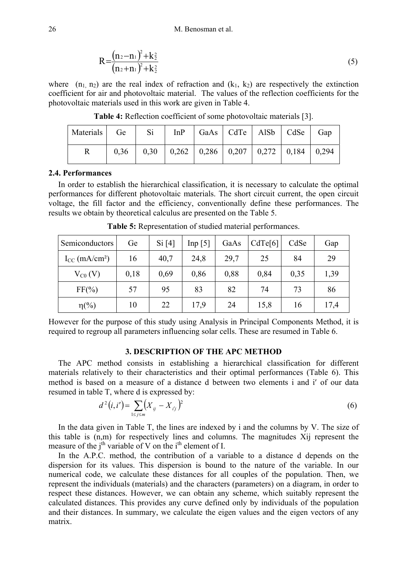$$
R = \frac{(n_2 - n_1)^2 + k_2^2}{(n_2 + n_1)^2 + k_2^2}
$$
 (5)

where  $(n_1, n_2)$  are the real index of refraction and  $(k_1, k_2)$  are respectively the extinction coefficient for air and photovoltaic material. The values of the reflection coefficients for the photovoltaic materials used in this work are given in Table 4.

Materials Ge Si InP GaAs CdTe AlSb CdSe Gap R 0,36 0,30 0,262 0,286 0,207 0,272 0,184 0,294

**Table 4:** Reflection coefficient of some photovoltaic materials [3].

#### **2.4. Performances**

In order to establish the hierarchical classification, it is necessary to calculate the optimal performances for different photovoltaic materials. The short circuit current, the open circuit voltage, the fill factor and the efficiency, conventionally define these performances. The results we obtain by theoretical calculus are presented on the Table 5.

| Semiconductors                 | Ge   | Si[4] | Inp $[5]$ | GaAs | CdTe[6] |      | Gap  |
|--------------------------------|------|-------|-----------|------|---------|------|------|
| $I_{CC}$ (mA/cm <sup>2</sup> ) | 16   | 40,7  | 24,8      | 29,7 | 25      | 84   | 29   |
| $V_{C0} (V)$                   | 0,18 | 0,69  | 0,86      | 0,88 | 0,84    | 0,35 | 1,39 |
| $FF(\%)$                       | 57   | 95    | 83        | 82   | 74      | 73   | 86   |
| $\eta$ <sup>(%)</sup>          | 10   | 22    | 17,9      | 24   | 15,8    | 16   | 17,4 |

**Table 5:** Representation of studied material performances.

However for the purpose of this study using Analysis in Principal Components Method, it is required to regroup all parameters influencing solar cells. These are resumed in Table 6.

### **3. DESCRIPTION OF THE APC METHOD**

The APC method consists in establishing a hierarchical classification for different materials relatively to their characteristics and their optimal performances (Table 6). This method is based on a measure of a distance d between two elements i and i′ of our data resumed in table T, where d is expressed by:

$$
d^{2}(i,i') = \sum_{1 \leq j \leq m} (X_{ij} - X_{ij})^{2}
$$
 (6)

In the data given in Table T, the lines are indexed by i and the columns by V. The size of this table is (n,m) for respectively lines and columns. The magnitudes Xij represent the measure of the  $i<sup>th</sup>$  variable of V on the  $i<sup>th</sup>$  element of I.

In the A.P.C. method, the contribution of a variable to a distance d depends on the dispersion for its values. This dispersion is bound to the nature of the variable. In our numerical code, we calculate these distances for all couples of the population. Then, we represent the individuals (materials) and the characters (parameters) on a diagram, in order to respect these distances. However, we can obtain any scheme, which suitably represent the calculated distances. This provides any curve defined only by individuals of the population and their distances. In summary, we calculate the eigen values and the eigen vectors of any matrix.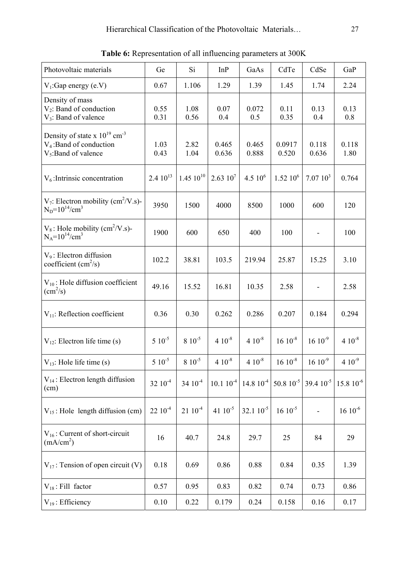| Photovoltaic materials                                                                                 | Ge                  | Si                  | InP            | GaAs           | CdTe                | CdSe           | GaP             |
|--------------------------------------------------------------------------------------------------------|---------------------|---------------------|----------------|----------------|---------------------|----------------|-----------------|
| $V_1$ : Gap energy (e.V)                                                                               | 0.67                | 1.106               | 1.29           | 1.39           | 1.45                | 1.74           | 2.24            |
| Density of mass<br>$V_2$ : Band of conduction<br>$V_3$ : Band of valence                               | 0.55<br>0.31        | 1.08<br>0.56        | 0.07<br>0.4    | 0.072<br>0.5   | 0.11<br>0.35        | 0.13<br>0.4    | 0.13<br>0.8     |
| Density of state x $10^{19}$ cm <sup>-3</sup><br>$V_4$ : Band of conduction<br>$V_5$ : Band of valence | 1.03<br>0.43        | 2.82<br>1.04        | 0.465<br>0.636 | 0.465<br>0.888 | 0.0917<br>0.520     | 0.118<br>0.636 | 0.118<br>1.80   |
| $V_6$ : Intrinsic concentration                                                                        | 2.4 $10^{13}$       | $1.4510^{10}$       | $2.6310^{7}$   | 4.5 $10^6$     | $1.52~10^{6}$       | $7.0710^3$     | 0.764           |
| $V_7$ : Electron mobility (cm <sup>2</sup> /V.s)-<br>$N_D = 10^{14}/cm^3$                              | 3950                | 1500                | 4000           | 8500           | 1000                | 600            | 120             |
| $V_8$ : Hole mobility (cm <sup>2</sup> /V.s)-<br>$N_A = 10^{14}/cm^3$                                  | 1900                | 600                 | 650            | 400            | 100                 | $\frac{1}{2}$  | 100             |
| $V_9$ : Electron diffusion<br>coefficient $\text{cm}^2\text{/s}$ )                                     | 102.2               | 38.81               | 103.5          | 219.94         | 25.87               | 15.25          | 3.10            |
| $V_{10}$ : Hole diffusion coefficient<br>$\text{(cm}^2\text{/s)}$                                      | 49.16               | 15.52               | 16.81          | 10.35          | 2.58                |                | 2.58            |
| $V_{11}$ : Reflection coefficient                                                                      | 0.36                | 0.30                | 0.262          | 0.286          | 0.207               | 0.184          | 0.294           |
| $V_{12}$ : Electron life time (s)                                                                      | $5 \; 10^{-5}$      | $8\;10^{-5}$        | $4.10^{-8}$    | $4.10^{-8}$    | $16 \times 10^{-8}$ | $16 10^{-9}$   | $4.10^{-8}$     |
| $V_{13}$ : Hole life time (s)                                                                          | $5\,10^{-5}$        | $8\;10^{-5}$        | $4.10^{-8}$    | $410^{-8}$     | $16 \; 10^{-8}$     | $16 10^{-9}$   | $410^{-9}$      |
| $V_{14}$ : Electron length diffusion<br>(cm)                                                           | $32 \times 10^{-4}$ | $34 \times 10^{-4}$ | $10.110^{-4}$  | $14.810^{-4}$  | 50.8 $10^{-5}$      | 39.4 $10^{-5}$ | $15.8\;10^{-6}$ |
| $V_{15}$ : Hole length diffusion (cm)                                                                  | $22 \times 10^{-4}$ | $2110^{-4}$         | 41 $10^{-5}$   | $32.110^{-5}$  | $16 \; 10^{-5}$     |                | $16 \, 10^{-6}$ |
| $V_{16}$ : Current of short-circuit<br>(mA/cm <sup>2</sup> )                                           | 16                  | 40.7                | 24.8           | 29.7           | 25                  | 84             | 29              |
| $V_{17}$ : Tension of open circuit (V)                                                                 | 0.18                | 0.69                | 0.86           | 0.88           | 0.84                | 0.35           | 1.39            |
| $V_{18}$ : Fill factor                                                                                 | 0.57                | 0.95                | 0.83           | 0.82           | 0.74                | 0.73           | 0.86            |
| $V_{19}$ : Efficiency                                                                                  | 0.10                | 0.22                | 0.179          | 0.24           | 0.158               | 0.16           | 0.17            |

**Table 6:** Representation of all influencing parameters at 300K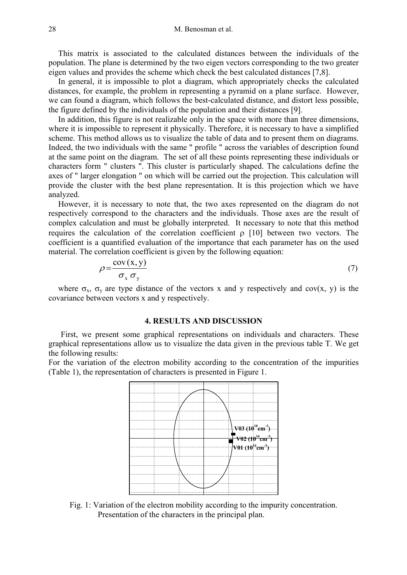This matrix is associated to the calculated distances between the individuals of the population. The plane is determined by the two eigen vectors corresponding to the two greater eigen values and provides the scheme which check the best calculated distances [7,8].

In general, it is impossible to plot a diagram, which appropriately checks the calculated distances, for example, the problem in representing a pyramid on a plane surface. However, we can found a diagram, which follows the best-calculated distance, and distort less possible, the figure defined by the individuals of the population and their distances [9].

In addition, this figure is not realizable only in the space with more than three dimensions, where it is impossible to represent it physically. Therefore, it is necessary to have a simplified scheme. This method allows us to visualize the table of data and to present them on diagrams. Indeed, the two individuals with the same " profile " across the variables of description found at the same point on the diagram. The set of all these points representing these individuals or characters form " clusters ". This cluster is particularly shaped. The calculations define the axes of " larger elongation " on which will be carried out the projection. This calculation will provide the cluster with the best plane representation. It is this projection which we have analyzed.

However, it is necessary to note that, the two axes represented on the diagram do not respectively correspond to the characters and the individuals. Those axes are the result of complex calculation and must be globally interpreted. It necessary to note that this method requires the calculation of the correlation coefficient  $\rho$  [10] between two vectors. The coefficient is a quantified evaluation of the importance that each parameter has on the used material. The correlation coefficient is given by the following equation:

$$
\rho = \frac{\text{cov}(x, y)}{\sigma_x \sigma_y} \tag{7}
$$

where  $\sigma_x$ ,  $\sigma_y$  are type distance of the vectors x and y respectively and cov(x, y) is the covariance between vectors x and y respectively.

### **4. RESULTS AND DISCUSSION**

First, we present some graphical representations on individuals and characters. These graphical representations allow us to visualize the data given in the previous table T. We get the following results:

For the variation of the electron mobility according to the concentration of the impurities (Table 1), the representation of characters is presented in Figure 1.



Fig. 1: Variation of the electron mobility according to the impurity concentration. Presentation of the characters in the principal plan.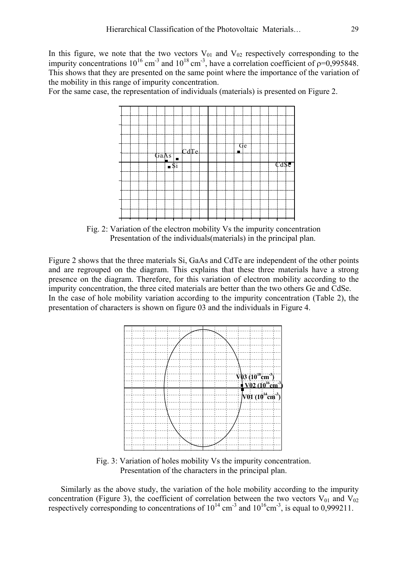In this figure, we note that the two vectors  $V_{01}$  and  $V_{02}$  respectively corresponding to the impurity concentrations  $10^{16}$  cm<sup>-3</sup> and  $10^{18}$  cm<sup>-3</sup>, have a correlation coefficient of  $\rho$ =0,995848. This shows that they are presented on the same point where the importance of the variation of the mobility in this range of impurity concentration.

For the same case, the representation of individuals (materials) is presented on Figure 2.



Fig. 2: Variation of the electron mobility Vs the impurity concentration Presentation of the individuals(materials) in the principal plan.

Figure 2 shows that the three materials Si, GaAs and CdTe are independent of the other points and are regrouped on the diagram. This explains that these three materials have a strong presence on the diagram. Therefore, for this variation of electron mobility according to the impurity concentration, the three cited materials are better than the two others Ge and CdSe. In the case of hole mobility variation according to the impurity concentration (Table 2), the presentation of characters is shown on figure 03 and the individuals in Figure 4.



Fig. 3: Variation of holes mobility Vs the impurity concentration. Presentation of the characters in the principal plan.

Similarly as the above study, the variation of the hole mobility according to the impurity concentration (Figure 3), the coefficient of correlation between the two vectors  $V_{01}$  and  $V_{02}$ respectively corresponding to concentrations of  $10^{14}$  cm<sup>-3</sup> and  $10^{16}$ cm<sup>-3</sup>, is equal to 0,999211.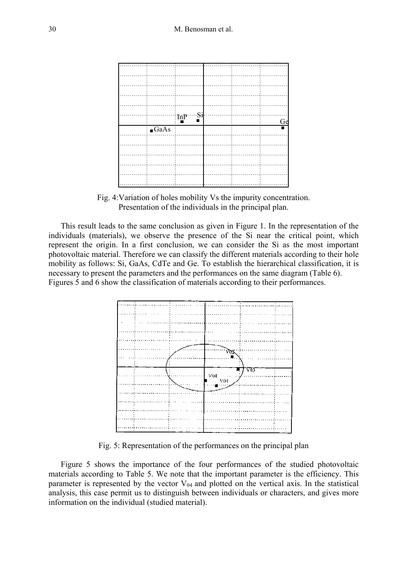

Fig. 4:Variation of holes mobility Vs the impurity concentration. Presentation of the individuals in the principal plan.

This result leads to the same conclusion as given in Figure 1. In the representation of the individuals (materials), we observe the presence of the Si near the critical point, which represent the origin. In a first conclusion, we can consider the Si as the most important photovoltaic material. Therefore we can classify the different materials according to their hole mobility as follows: Si, GaAs, CdTe and Ge. To establish the hierarchical classification, it is necessary to present the parameters and the performances on the same diagram (Table 6). Figures 5 and 6 show the classification of materials according to their performances.



Fig. 5: Representation of the performances on the principal plan

Figure 5 shows the importance of the four performances of the studied photovoltaic materials according to Table 5. We note that the important parameter is the efficiency. This parameter is represented by the vector  $V_{04}$  and plotted on the vertical axis. In the statistical analysis, this case permit us to distinguish between individuals or characters, and gives more information on the individual (studied material).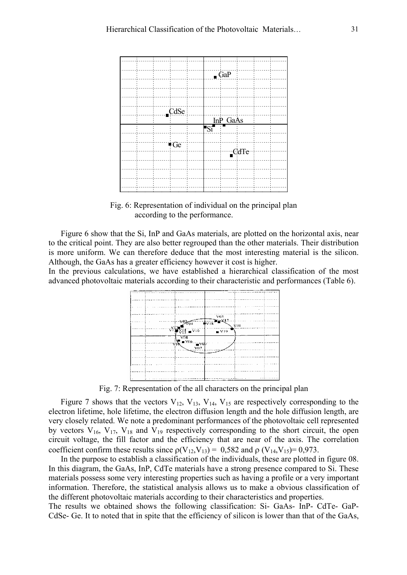

Fig. 6: Representation of individual on the principal plan according to the performance.

Figure 6 show that the Si, InP and GaAs materials, are plotted on the horizontal axis, near to the critical point. They are also better regrouped than the other materials. Their distribution is more uniform. We can therefore deduce that the most interesting material is the silicon. Although, the GaAs has a greater efficiency however it cost is higher.

In the previous calculations, we have established a hierarchical classification of the most advanced photovoltaic materials according to their characteristic and performances (Table 6).



Fig. 7: Representation of the all characters on the principal plan

Figure 7 shows that the vectors  $V_{12}$ ,  $V_{13}$ ,  $V_{14}$ ,  $V_{15}$  are respectively corresponding to the electron lifetime, hole lifetime, the electron diffusion length and the hole diffusion length, are very closely related. We note a predominant performances of the photovoltaic cell represented by vectors  $V_{16}$ ,  $V_{17}$ ,  $V_{18}$  and  $V_{19}$  respectively corresponding to the short circuit, the open circuit voltage, the fill factor and the efficiency that are near of the axis. The correlation coefficient confirm these results since  $p(V_{12}, V_{13}) = 0.582$  and  $p(V_{14}, V_{15}) = 0.973$ .

In the purpose to establish a classification of the individuals, these are plotted in figure 08. In this diagram, the GaAs, InP, CdTe materials have a strong presence compared to Si. These materials possess some very interesting properties such as having a profile or a very important information. Therefore, the statistical analysis allows us to make a obvious classification of the different photovoltaic materials according to their characteristics and properties.

The results we obtained shows the following classification: Si- GaAs- InP- CdTe- GaP-CdSe- Ge. It to noted that in spite that the efficiency of silicon is lower than that of the GaAs,